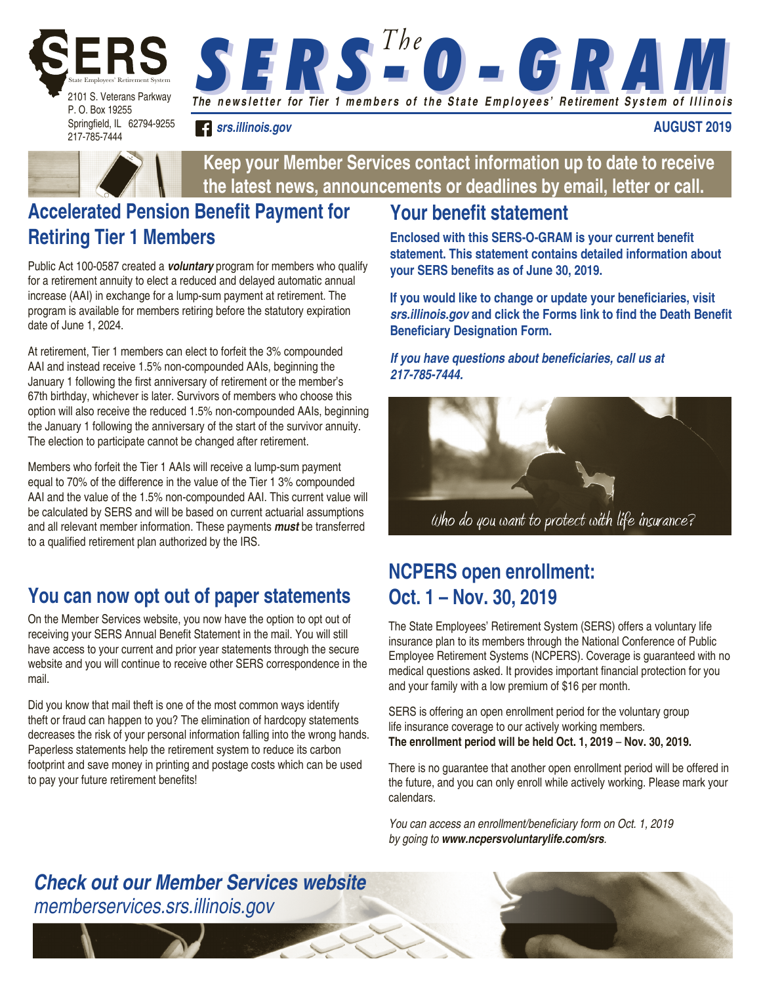

Springfield, IL 62794-9255 217-785-7444

**S E R S <sup>The</sup> O - G R AM** 

*srs.illinois.gov*

**AUGUST 2019**



**Keep your Member Services contact information up to date to receive the latest news, announcements or deadlines by email, letter or call.**

# **Accelerated Pension Benefit Payment for Retiring Tier 1 Members**

Public Act 100-0587 created a *voluntary* program for members who qualify for a retirement annuity to elect a reduced and delayed automatic annual increase (AAI) in exchange for a lump-sum payment at retirement. The program is available for members retiring before the statutory expiration date of June 1, 2024.

At retirement, Tier 1 members can elect to forfeit the 3% compounded AAI and instead receive 1.5% non-compounded AAIs, beginning the January 1 following the first anniversary of retirement or the member's 67th birthday, whichever is later. Survivors of members who choose this option will also receive the reduced 1.5% non-compounded AAIs, beginning the January 1 following the anniversary of the start of the survivor annuity. The election to participate cannot be changed after retirement.

Members who forfeit the Tier 1 AAIs will receive a lump-sum payment equal to 70% of the difference in the value of the Tier 1 3% compounded AAI and the value of the 1.5% non-compounded AAI. This current value will be calculated by SERS and will be based on current actuarial assumptions and all relevant member information. These payments *must* be transferred to a qualified retirement plan authorized by the IRS.

# **You can now opt out of paper statements**

On the Member Services website, you now have the option to opt out of receiving your SERS Annual Benefit Statement in the mail. You will still have access to your current and prior year statements through the secure website and you will continue to receive other SERS correspondence in the mail.

Did you know that mail theft is one of the most common ways identify theft or fraud can happen to you? The elimination of hardcopy statements decreases the risk of your personal information falling into the wrong hands. Paperless statements help the retirement system to reduce its carbon footprint and save money in printing and postage costs which can be used to pay your future retirement benefits!

## **Your benefit statement**

**Enclosed with this SERS-O-GRAM is your current benefit statement. This statement contains detailed information about your SERS benefits as of June 30, 2019.** 

**If you would like to change or update your beneficiaries, visit**  *srs.illinois.gov* **and click the Forms link to find the Death Benefit Beneficiary Designation Form.**

#### **If you have questions about beneficiaries, call us at**  *217-785-7444.*



# **NCPERS open enrollment:**

# **Oct. 1 – Nov. 30, 2019**

The State Employees' Retirement System (SERS) offers a voluntary life insurance plan to its members through the National Conference of Public Employee Retirement Systems (NCPERS). Coverage is guaranteed with no medical questions asked. It provides important financial protection for you and your family with a low premium of \$16 per month.

SERS is offering an open enrollment period for the voluntary group life insurance coverage to our actively working members. **The enrollment period will be held Oct. 1, 2019** – **Nov. 30, 2019.** 

There is no guarantee that another open enrollment period will be offered in the future, and you can only enroll while actively working. Please mark your calendars.

You can access an enrollment/beneficiary form on Oct. 1, 2019 by going to *www.ncpersvoluntarylife.com/srs*.

### *Check out our Member Services website* memberservices.srs.illinois.gov

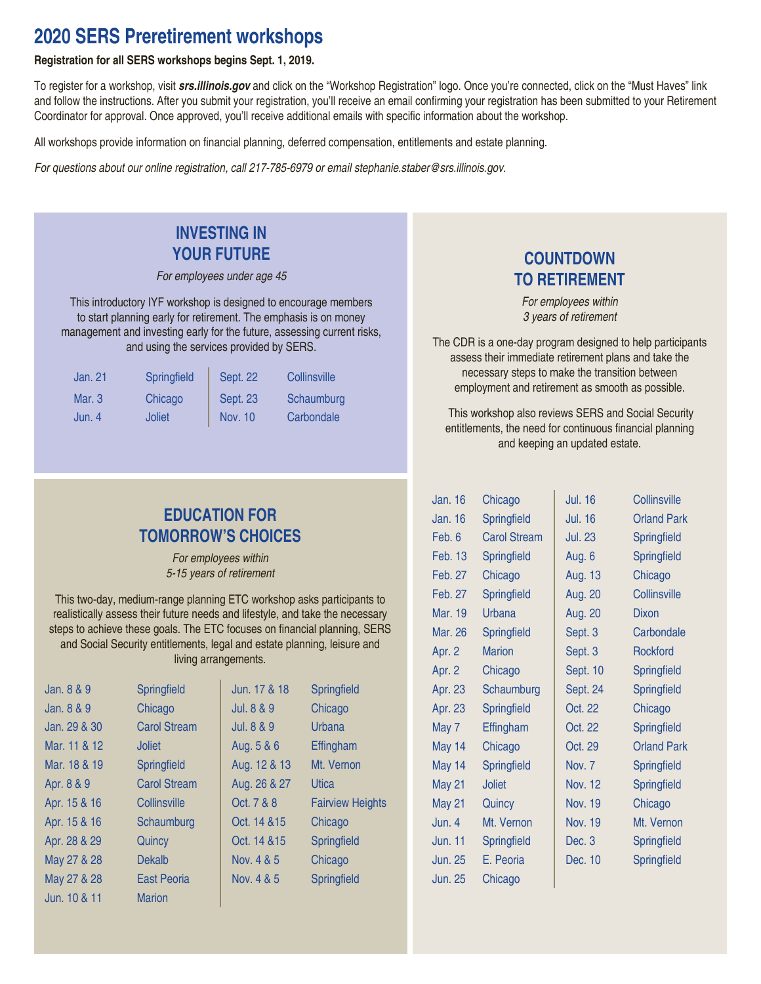### **2020 SERS Preretirement workshops**

#### **Registration for all SERS workshops begins Sept. 1, 2019.**

To register for a workshop, visit *srs.illinois.gov* and click on the "Workshop Registration" logo. Once you're connected, click on the "Must Haves" link and follow the instructions. After you submit your registration, you'll receive an email confirming your registration has been submitted to your Retirement Coordinator for approval. Once approved, you'll receive additional emails with specific information about the workshop.

All workshops provide information on financial planning, deferred compensation, entitlements and estate planning.

For questions about our online registration, call 217-785-6979 or email stephanie.staber@srs.illinois.gov.

#### **INVESTING IN YOUR FUTURE**

For employees under age 45

This introductory IYF workshop is designed to encourage members to start planning early for retirement. The emphasis is on money management and investing early for the future, assessing current risks, and using the services provided by SERS.

| Jan. 21  | Springfield | <b>Sept. 22</b> | Collinsville |
|----------|-------------|-----------------|--------------|
| Mar. $3$ | Chicago     | <b>Sept. 23</b> | Schaumburg   |
| Jun. 4   | Joliet      | Nov. 10         | Carbondale   |

#### **EDUCATION FOR TOMORROW'S CHOICES**

For employees within 5-15 years of retirement

This two-day, medium-range planning ETC workshop asks participants to realistically assess their future needs and lifestyle, and take the necessary steps to achieve these goals. The ETC focuses on financial planning, SERS and Social Security entitlements, legal and estate planning, leisure and living arrangements.

| Jan. 8 & 9   | Springfield         | Jun. 17 & 18 | Springfield             |
|--------------|---------------------|--------------|-------------------------|
| Jan. 8 & 9   | Chicago             | Jul. 8 & 9   | Chicago                 |
| Jan. 29 & 30 | <b>Carol Stream</b> | Jul. 8 & 9   | Urbana                  |
| Mar. 11 & 12 | <b>Joliet</b>       | Aug. 5 & 6   | Effingham               |
| Mar. 18 & 19 | Springfield         | Aug. 12 & 13 | Mt. Vernon              |
| Apr. 8 & 9   | <b>Carol Stream</b> | Aug. 26 & 27 | Utica                   |
| Apr. 15 & 16 | Collinsville        | Oct. 7 & 8   | <b>Fairview Heights</b> |
| Apr. 15 & 16 | Schaumburg          | Oct. 14 & 15 | Chicago                 |
| Apr. 28 & 29 | Quincy              | Oct. 14 & 15 | Springfield             |
| May 27 & 28  | Dekalb              | Nov. 4 & 5   | Chicago                 |
| May 27 & 28  | East Peoria         | Nov. 4 & 5   | Springfield             |
| Jun. 10 & 11 | <b>Marion</b>       |              |                         |

#### **COUNTDOWN TO RETIREMENT**

For employees within 3 years of retirement

The CDR is a one-day program designed to help participants assess their immediate retirement plans and take the necessary steps to make the transition between employment and retirement as smooth as possible.

 This workshop also reviews SERS and Social Security entitlements, the need for continuous financial planning and keeping an updated estate.

| Jan. 16        | Chicago             | <b>Jul. 16</b> | Collinsville       |
|----------------|---------------------|----------------|--------------------|
| Jan. 16        | Springfield         | <b>Jul. 16</b> | <b>Orland Park</b> |
| Feb. 6         | <b>Carol Stream</b> | <b>Jul. 23</b> | Springfield        |
| <b>Feb. 13</b> | Springfield         | Aug. 6         | Springfield        |
| Feb. 27        | Chicago             | Aug. 13        | Chicago            |
| Feb. 27        | Springfield         | Aug. 20        | Collinsville       |
| Mar. 19        | Urbana              | Aug. 20        | <b>Dixon</b>       |
| Mar. 26        | Springfield         | Sept. 3        | Carbondale         |
| Apr. 2         | <b>Marion</b>       | Sept. 3        | Rockford           |
| Apr. 2         | Chicago             | Sept. 10       | Springfield        |
| Apr. 23        | Schaumburg          | Sept. 24       | Springfield        |
| Apr. 23        | Springfield         | Oct. 22        | Chicago            |
| May 7          | Effingham           | Oct. 22        | Springfield        |
| May 14         | Chicago             | Oct. 29        | <b>Orland Park</b> |
| May 14         | Springfield         | Nov. 7         | Springfield        |
| May 21         | <b>Joliet</b>       | <b>Nov. 12</b> | Springfield        |
| May 21         | Quincy              | <b>Nov. 19</b> | Chicago            |
| Jun. 4         | Mt. Vernon          | <b>Nov. 19</b> | Mt. Vernon         |
| <b>Jun. 11</b> | Springfield         | Dec. 3         | <b>Springfield</b> |
| <b>Jun. 25</b> | E. Peoria           | Dec. 10        | Springfield        |
| <b>Jun. 25</b> | Chicago             |                |                    |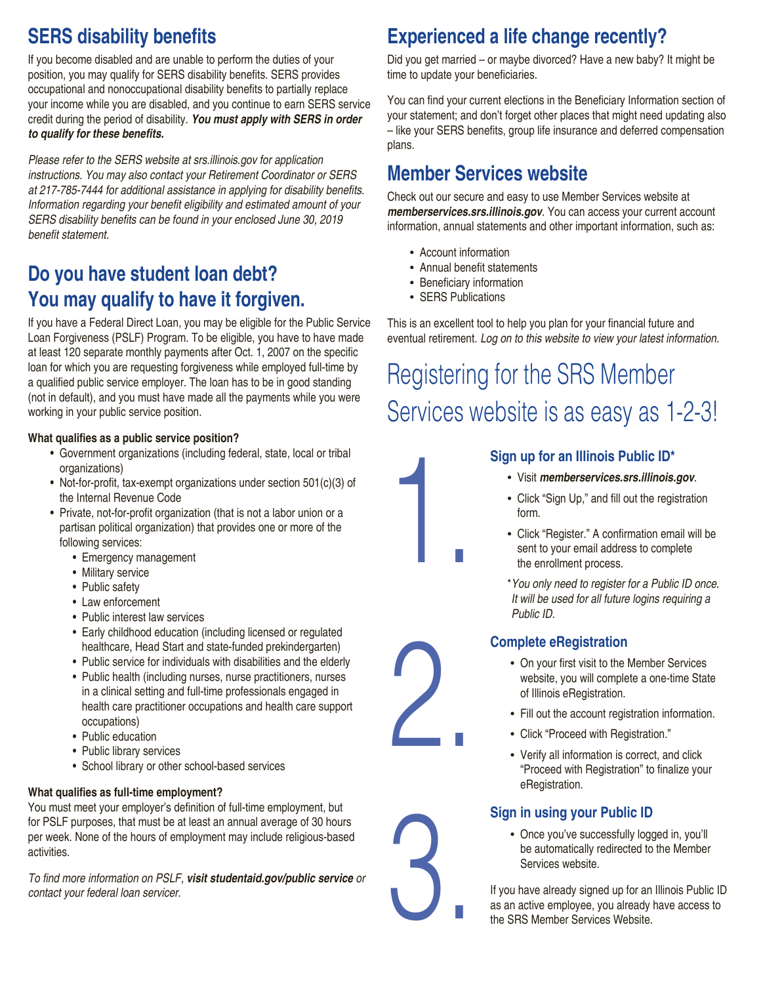# **SERS disability benefits**

If you become disabled and are unable to perform the duties of your position, you may qualify for SERS disability benefits. SERS provides occupational and nonoccupational disability benefits to partially replace your income while you are disabled, and you continue to earn SERS service credit during the period of disability. *You must apply with SERS in order*  **to qualify for these benefits.**

Please refer to the SERS website at srs.illinois.gov for application instructions. You may also contact your Retirement Coordinator or SERS at 217-785-7444 for additional assistance in applying for disability benefits. Information regarding your benefit eligibility and estimated amount of your SERS disability benefits can be found in your enclosed June 30, 2019 benefit statement.

## **Do you have student loan debt? You may qualify to have it forgiven.**

If you have a Federal Direct Loan, you may be eligible for the Public Service Loan Forgiveness (PSLF) Program. To be eligible, you have to have made at least 120 separate monthly payments after Oct. 1, 2007 on the specific loan for which you are requesting forgiveness while employed full-time by a qualified public service employer. The loan has to be in good standing (not in default), and you must have made all the payments while you were working in your public service position.

#### **What qualifies as a public service position?**

- Government organizations (including federal, state, local or tribal organizations)
- Not-for-profit, tax-exempt organizations under section 501(c)(3) of the Internal Revenue Code
- Private, not-for-profit organization (that is not a labor union or a partisan political organization) that provides one or more of the following services:
	- Emergency management
	- Military service
	- Public safety
	- Law enforcement
	- Public interest law services
	- Early childhood education (including licensed or regulated healthcare, Head Start and state-funded prekindergarten)
	- Public service for individuals with disabilities and the elderly
	- Public health (including nurses, nurse practitioners, nurses in a clinical setting and full-time professionals engaged in health care practitioner occupations and health care support occupations)
	- Public education
	- Public library services
	- School library or other school-based services

#### **What qualifies as full-time employment?**

You must meet your employer's definition of full-time employment, but for PSLF purposes, that must be at least an annual average of 30 hours per week. None of the hours of employment may include religious-based activities.

To find more information on PSLF, *visit studentaid.gov/public service or*  contact your federal loan servicer.

## **Experienced a life change recently?**

Did you get married – or maybe divorced? Have a new baby? It might be time to update your beneficiaries.

You can find your current elections in the Beneficiary Information section of your statement; and don't forget other places that might need updating also – like your SERS benefits, group life insurance and deferred compensation plans.

## **Member Services website**

Check out our secure and easy to use Member Services website at *memberservices.srs.illinois.gov*. You can access your current account information, annual statements and other important information, such as:

- Account information
- Annual benefit statements
- Beneficiary information
- SERS Publications

This is an excellent tool to help you plan for your financial future and eventual retirement. Log on to this website to view your latest information.

# Registering for the SRS Member Services website is as easy as 1-2-3!

#### **Sign up for an Illinois Public ID\***

- Visit *memberservices.srs.illinois.gov*.
- Click "Sign Up," and fill out the registration form.
- Click "Register." A confirmation email will be sent to your email address to complete the enrollment process.
- \*You only need to register for a Public ID once. It will be used for all future logins requiring a Public ID.



3.

1.

#### **Complete eRegistration**

- On your first visit to the Member Services website, you will complete a one-time State of Illinois eRegistration.
- Fill out the account registration information.
- Click "Proceed with Registration."
- Verify all information is correct, and click "Proceed with Registration" to finalize your eRegistration.

#### **Sign in using your Public ID**

• Once you've successfully logged in, you'll be automatically redirected to the Member Services website.

If you have already signed up for an Illinois Public ID as an active employee, you already have access to the SRS Member Services Website.